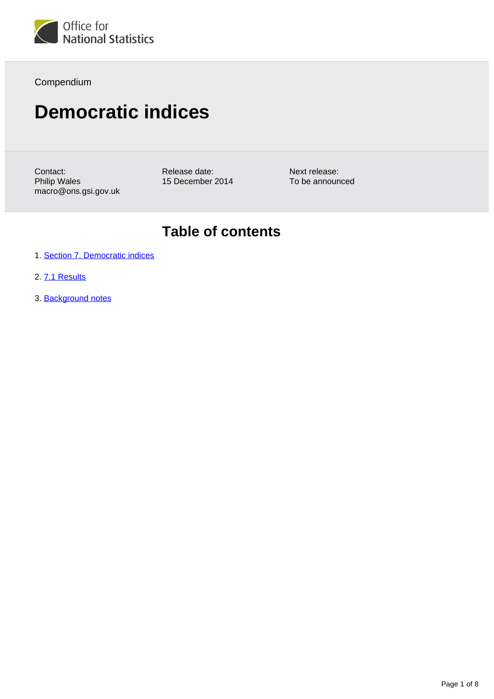

Compendium

# **Democratic indices**

Contact: Philip Wales macro@ons.gsi.gov.uk Release date: 15 December 2014

Next release: To be announced

## **Table of contents**

- 1. [Section 7. Democratic indices](#page-1-0)
- 2. [7.1 Results](#page-1-1)
- 3. Background notes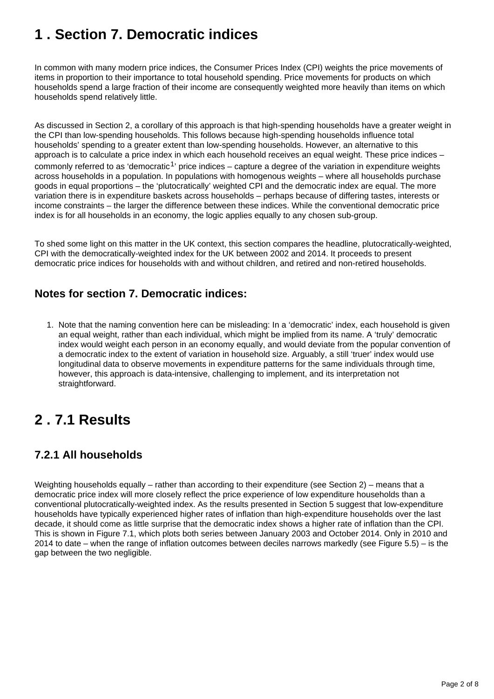## <span id="page-1-0"></span>**1 . Section 7. Democratic indices**

In common with many modern price indices, the Consumer Prices Index (CPI) weights the price movements of items in proportion to their importance to total household spending. Price movements for products on which households spend a large fraction of their income are consequently weighted more heavily than items on which households spend relatively little.

As discussed in Section 2, a corollary of this approach is that high-spending households have a greater weight in the CPI than low-spending households. This follows because high-spending households influence total households' spending to a greater extent than low-spending households. However, an alternative to this approach is to calculate a price index in which each household receives an equal weight. These price indices – commonly referred to as 'democratic<sup>1</sup>' price indices – capture a degree of the variation in expenditure weights across households in a population. In populations with homogenous weights – where all households purchase goods in equal proportions – the 'plutocratically' weighted CPI and the democratic index are equal. The more variation there is in expenditure baskets across households – perhaps because of differing tastes, interests or income constraints – the larger the difference between these indices. While the conventional democratic price index is for all households in an economy, the logic applies equally to any chosen sub-group.

To shed some light on this matter in the UK context, this section compares the headline, plutocratically-weighted, CPI with the democratically-weighted index for the UK between 2002 and 2014. It proceeds to present democratic price indices for households with and without children, and retired and non-retired households.

### **Notes for section 7. Democratic indices:**

1. Note that the naming convention here can be misleading: In a 'democratic' index, each household is given an equal weight, rather than each individual, which might be implied from its name. A 'truly' democratic index would weight each person in an economy equally, and would deviate from the popular convention of a democratic index to the extent of variation in household size. Arguably, a still 'truer' index would use longitudinal data to observe movements in expenditure patterns for the same individuals through time, however, this approach is data-intensive, challenging to implement, and its interpretation not straightforward.

## <span id="page-1-1"></span>**2 . 7.1 Results**

## **7.2.1 All households**

Weighting households equally – rather than according to their expenditure (see Section 2) – means that a democratic price index will more closely reflect the price experience of low expenditure households than a conventional plutocratically-weighted index. As the results presented in Section 5 suggest that low-expenditure households have typically experienced higher rates of inflation than high-expenditure households over the last decade, it should come as little surprise that the democratic index shows a higher rate of inflation than the CPI. This is shown in Figure 7.1, which plots both series between January 2003 and October 2014. Only in 2010 and 2014 to date – when the range of inflation outcomes between deciles narrows markedly (see Figure 5.5) – is the gap between the two negligible.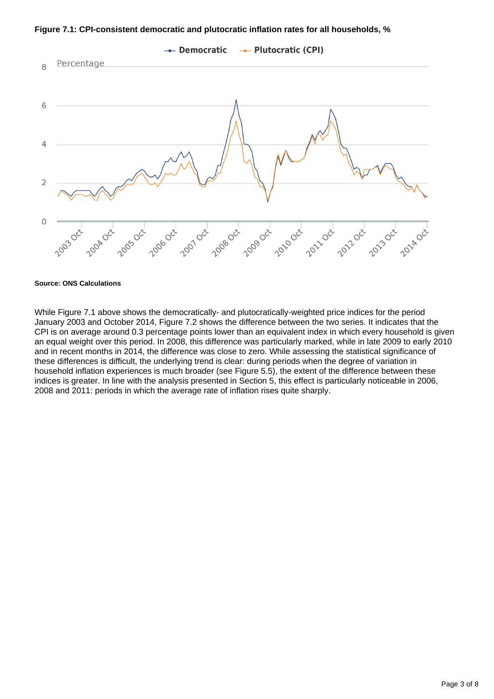**Figure 7.1: CPI-consistent democratic and plutocratic inflation rates for all households, %**



While Figure 7.1 above shows the democratically- and plutocratically-weighted price indices for the period January 2003 and October 2014, Figure 7.2 shows the difference between the two series. It indicates that the CPI is on average around 0.3 percentage points lower than an equivalent index in which every household is given an equal weight over this period. In 2008, this difference was particularly marked, while in late 2009 to early 2010 and in recent months in 2014, the difference was close to zero. While assessing the statistical significance of these differences is difficult, the underlying trend is clear: during periods when the degree of variation in household inflation experiences is much broader (see Figure 5.5), the extent of the difference between these indices is greater. In line with the analysis presented in Section 5, this effect is particularly noticeable in 2006, 2008 and 2011: periods in which the average rate of inflation rises quite sharply.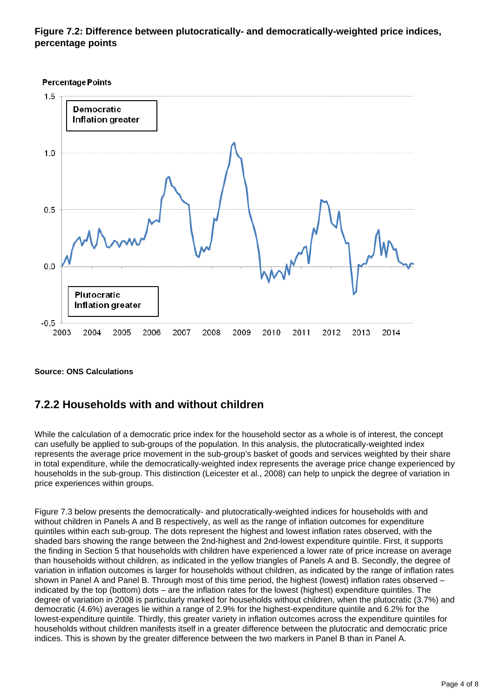### **Figure 7.2: Difference between plutocratically- and democratically-weighted price indices, percentage points**



#### **Source: ONS Calculations**

### **7.2.2 Households with and without children**

While the calculation of a democratic price index for the household sector as a whole is of interest, the concept can usefully be applied to sub-groups of the population. In this analysis, the plutocratically-weighted index represents the average price movement in the sub-group's basket of goods and services weighted by their share in total expenditure, while the democratically-weighted index represents the average price change experienced by households in the sub-group. This distinction (Leicester et al., 2008) can help to unpick the degree of variation in price experiences within groups.

Figure 7.3 below presents the democratically- and plutocratically-weighted indices for households with and without children in Panels A and B respectively, as well as the range of inflation outcomes for expenditure quintiles within each sub-group. The dots represent the highest and lowest inflation rates observed, with the shaded bars showing the range between the 2nd-highest and 2nd-lowest expenditure quintile. First, it supports the finding in Section 5 that households with children have experienced a lower rate of price increase on average than households without children, as indicated in the yellow triangles of Panels A and B. Secondly, the degree of variation in inflation outcomes is larger for households without children, as indicated by the range of inflation rates shown in Panel A and Panel B. Through most of this time period, the highest (lowest) inflation rates observed – indicated by the top (bottom) dots – are the inflation rates for the lowest (highest) expenditure quintiles. The degree of variation in 2008 is particularly marked for households without children, when the plutocratic (3.7%) and democratic (4.6%) averages lie within a range of 2.9% for the highest-expenditure quintile and 6.2% for the lowest-expenditure quintile. Thirdly, this greater variety in inflation outcomes across the expenditure quintiles for households without children manifests itself in a greater difference between the plutocratic and democratic price indices. This is shown by the greater difference between the two markers in Panel B than in Panel A.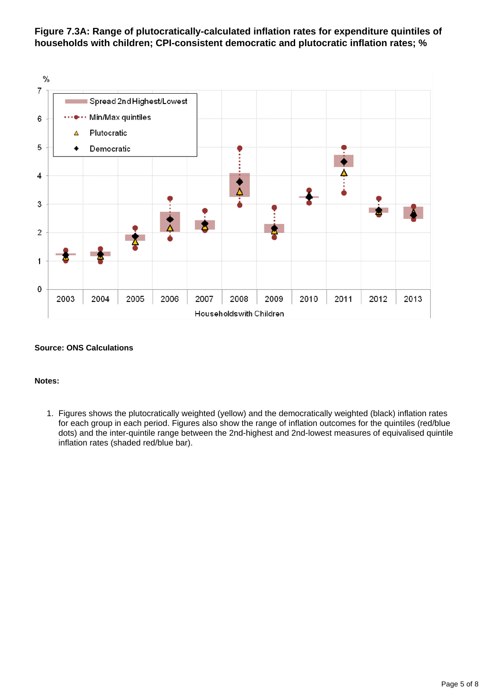**Figure 7.3A: Range of plutocratically-calculated inflation rates for expenditure quintiles of households with children; CPI-consistent democratic and plutocratic inflation rates; %**



#### **Notes:**

1. Figures shows the plutocratically weighted (yellow) and the democratically weighted (black) inflation rates for each group in each period. Figures also show the range of inflation outcomes for the quintiles (red/blue dots) and the inter-quintile range between the 2nd-highest and 2nd-lowest measures of equivalised quintile inflation rates (shaded red/blue bar).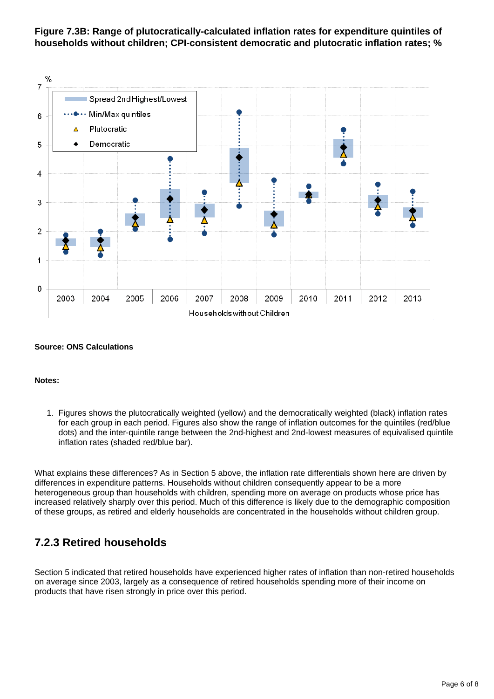**Figure 7.3B: Range of plutocratically-calculated inflation rates for expenditure quintiles of households without children; CPI-consistent democratic and plutocratic inflation rates; %**



#### **Notes:**

1. Figures shows the plutocratically weighted (yellow) and the democratically weighted (black) inflation rates for each group in each period. Figures also show the range of inflation outcomes for the quintiles (red/blue dots) and the inter-quintile range between the 2nd-highest and 2nd-lowest measures of equivalised quintile inflation rates (shaded red/blue bar).

What explains these differences? As in Section 5 above, the inflation rate differentials shown here are driven by differences in expenditure patterns. Households without children consequently appear to be a more heterogeneous group than households with children, spending more on average on products whose price has increased relatively sharply over this period. Much of this difference is likely due to the demographic composition of these groups, as retired and elderly households are concentrated in the households without children group.

### **7.2.3 Retired households**

Section 5 indicated that retired households have experienced higher rates of inflation than non-retired households on average since 2003, largely as a consequence of retired households spending more of their income on products that have risen strongly in price over this period.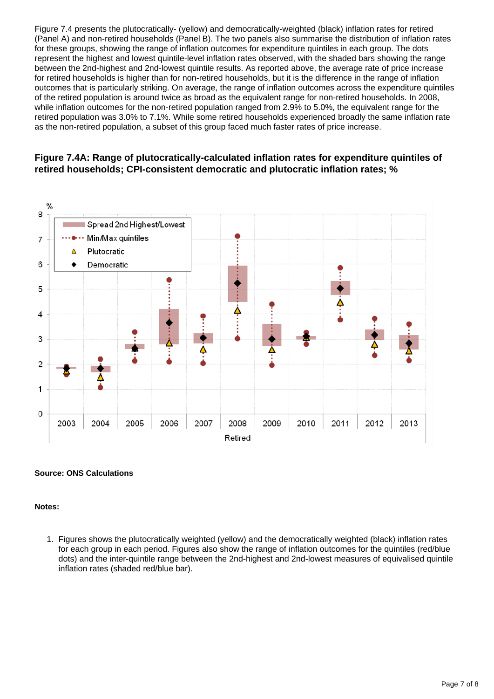Figure 7.4 presents the plutocratically- (yellow) and democratically-weighted (black) inflation rates for retired (Panel A) and non-retired households (Panel B). The two panels also summarise the distribution of inflation rates for these groups, showing the range of inflation outcomes for expenditure quintiles in each group. The dots represent the highest and lowest quintile-level inflation rates observed, with the shaded bars showing the range between the 2nd-highest and 2nd-lowest quintile results. As reported above, the average rate of price increase for retired households is higher than for non-retired households, but it is the difference in the range of inflation outcomes that is particularly striking. On average, the range of inflation outcomes across the expenditure quintiles of the retired population is around twice as broad as the equivalent range for non-retired households. In 2008, while inflation outcomes for the non-retired population ranged from 2.9% to 5.0%, the equivalent range for the retired population was 3.0% to 7.1%. While some retired households experienced broadly the same inflation rate as the non-retired population, a subset of this group faced much faster rates of price increase.

#### **Figure 7.4A: Range of plutocratically-calculated inflation rates for expenditure quintiles of retired households; CPI-consistent democratic and plutocratic inflation rates; %**



#### **Source: ONS Calculations**

#### **Notes:**

1. Figures shows the plutocratically weighted (yellow) and the democratically weighted (black) inflation rates for each group in each period. Figures also show the range of inflation outcomes for the quintiles (red/blue dots) and the inter-quintile range between the 2nd-highest and 2nd-lowest measures of equivalised quintile inflation rates (shaded red/blue bar).